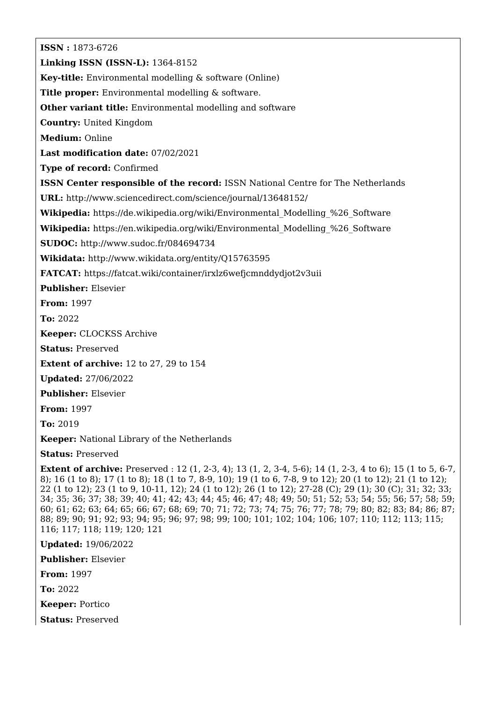**ISSN :** 1873-6726 **Linking ISSN (ISSN-L):** 1364-8152 **Key-title:** Environmental modelling & software (Online) **Title proper:** Environmental modelling & software. **Other variant title:** Environmental modelling and software **Country:** United Kingdom **Medium:** Online **Last modification date:** 07/02/2021 **Type of record:** Confirmed **ISSN Center responsible of the record:** ISSN National Centre for The Netherlands **URL:** <http://www.sciencedirect.com/science/journal/13648152/> **Wikipedia:** [https://de.wikipedia.org/wiki/Environmental\\_Modelling\\_%26\\_Software](https://de.wikipedia.org/wiki/Environmental_Modelling_%26_Software) Wikipedia: https://en.wikipedia.org/wiki/Environmental Modelling %26 Software **SUDOC:** <http://www.sudoc.fr/084694734> **Wikidata:** <http://www.wikidata.org/entity/Q15763595> **FATCAT:** <https://fatcat.wiki/container/irxlz6wefjcmnddydjot2v3uii> **Publisher:** Elsevier **From:** 1997 **To:** 2022 **Keeper:** CLOCKSS Archive **Status:** Preserved **Extent of archive:** 12 to 27, 29 to 154 **Updated:** 27/06/2022 **Publisher:** Elsevier **From:** 1997 **To:** 2019 **Keeper:** National Library of the Netherlands **Status:** Preserved **Extent of archive:** Preserved : 12 (1, 2-3, 4); 13 (1, 2, 3-4, 5-6); 14 (1, 2-3, 4 to 6); 15 (1 to 5, 6-7, 8); 16 (1 to 8); 17 (1 to 8); 18 (1 to 7, 8-9, 10); 19 (1 to 6, 7-8, 9 to 12); 20 (1 to 12); 21 (1 to 12); 22 (1 to 12); 23 (1 to 9, 10-11, 12); 24 (1 to 12); 26 (1 to 12); 27-28 (C); 29 (1); 30 (C); 31; 32; 33; 34; 35; 36; 37; 38; 39; 40; 41; 42; 43; 44; 45; 46; 47; 48; 49; 50; 51; 52; 53; 54; 55; 56; 57; 58; 59; 60; 61; 62; 63; 64; 65; 66; 67; 68; 69; 70; 71; 72; 73; 74; 75; 76; 77; 78; 79; 80; 82; 83; 84; 86; 87; 88; 89; 90; 91; 92; 93; 94; 95; 96; 97; 98; 99; 100; 101; 102; 104; 106; 107; 110; 112; 113; 115; 116; 117; 118; 119; 120; 121 **Updated:** 19/06/2022

**Publisher:** Elsevier

**From:** 1997

**To:** 2022

**Keeper:** Portico

**Status:** Preserved